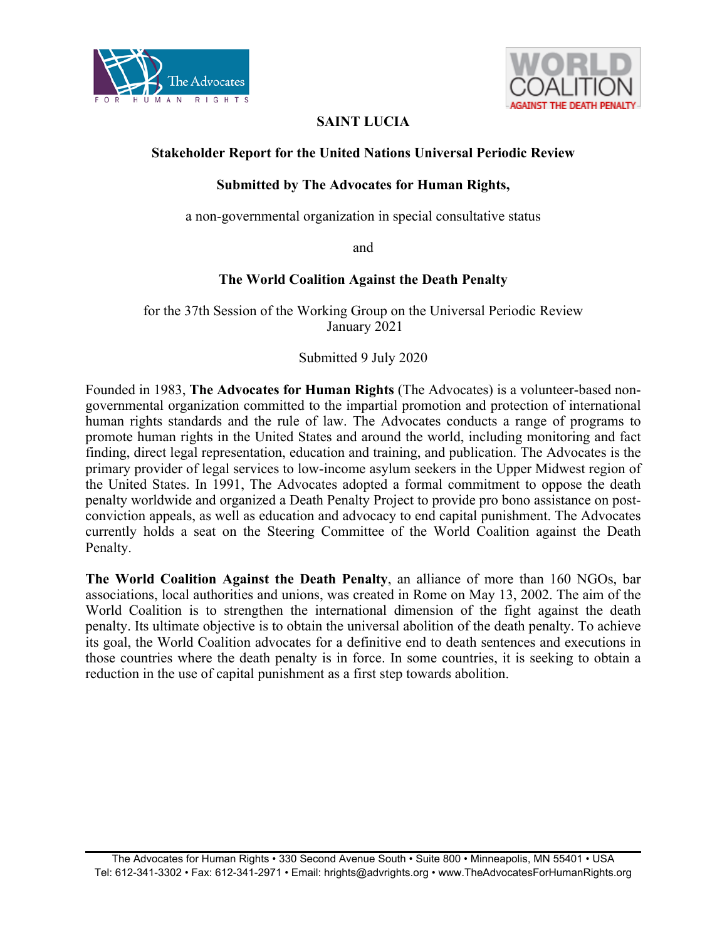



# **SAINT LUCIA**

## **Stakeholder Report for the United Nations Universal Periodic Review**

# **Submitted by The Advocates for Human Rights,**

<sup>a</sup> non-governmental organization in special consultative status

and

## **The World Coalition Against the Death Penalty**

for the 37th Session of the Working Group on the Universal Periodic Review January 2021

### Submitted 9 July 2020

Founded in 1983, **The Advocates for Human Rights** (The Advocates) is <sup>a</sup> volunteer-based nongovernmental organization committed to the impartial promotion and protection of international human rights standards and the rule of law. The Advocates conducts <sup>a</sup> range of programs to promote human rights in the United States and around the world, including monitoring and fact finding, direct legal representation, education and training, and publication. The Advocates is the primary provider of legal services to low-income asylum seekers in the Upper Midwest region of the United States. In 1991, The Advocates adopted <sup>a</sup> formal commitment to oppose the death penalty worldwide and organized <sup>a</sup> Death Penalty Project to provide pro bono assistance on postconviction appeals, as well as education and advocacy to end capital punishment. The Advocates currently holds <sup>a</sup> seat on the Steering Committee of the World Coalition against the Death Penalty.

**The World Coalition Against the Death Penalty**, an alliance of more than 160 NGOs, bar associations, local authorities and unions, was created in Rome on May 13, 2002. The aim of the World Coalition is to strengthen the international dimension of the fight against the death penalty. Its ultimate objective is to obtain the universal abolition of the death penalty. To achieve its goal, the World Coalition advocates for <sup>a</sup> definitive end to death sentences and executions in those countries where the death penalty is in force. In some countries, it is seeking to obtain <sup>a</sup> reduction in the use of capital punishment as <sup>a</sup> first step towards abolition.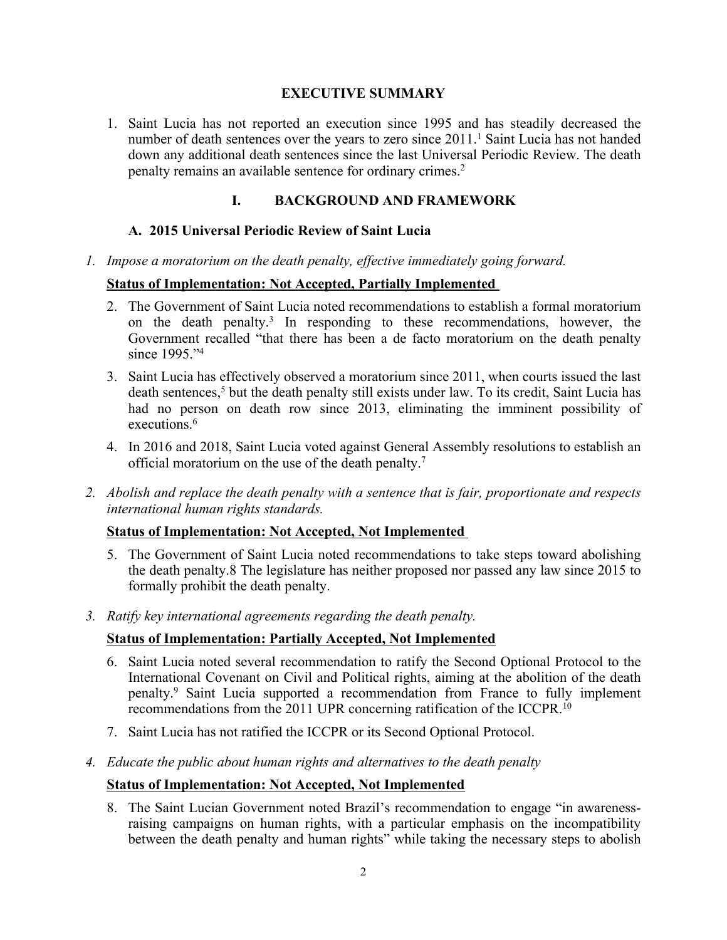### **EXECUTIVE SUMMARY**

1. Saint Lucia has not reported an execution since 1995 and has steadily decreased the number of death sentences over the years to zero since 2011. 1 Saint Lucia has not handed down any additional death sentences since the last Universal Periodic Review. The death penalty remains an available sentence for ordinary crimes. 2

## **I. BACKGROUND AND FRAMEWORK**

## **A. 2015 Universal Periodic Review of Saint Lucia**

*1. Impose <sup>a</sup> moratorium on the death penalty, effective immediately going forward.*

### **Status of Implementation: Not Accepted, Partially Implemented**

- 2. The Government of Saint Lucia noted recommendations to establish <sup>a</sup> formal moratorium on the death penalty. 3 In responding to these recommendations, however, the Government recalled "that there has been <sup>a</sup> de facto moratorium on the death penalty since 1995."<sup>4</sup>
- 3. Saint Lucia has effectively observed <sup>a</sup> moratorium since 2011, when courts issued the last death sentences, 5 but the death penalty still exists under law. To its credit, Saint Lucia has had no person on death row since 2013, eliminating the imminent possibility of executions. 6
- 4. In 2016 and 2018, Saint Lucia voted against General Assembly resolutions to establish an official moratorium on the use of the death penalty. 7
- 2. Abolish and replace the death penalty with a sentence that is fair, proportionate and respects *international human rights standards.*

### **Status of Implementation: Not Accepted, Not Implemented**

- 5. The Government of Saint Lucia noted recommendations to take steps toward abolishing the death penalty.8 The legislature has neither proposed nor passed any law since 2015 to formally prohibit the death penalty.
- *3. Ratify key international agreements regarding the death penalty.*

### **Status of Implementation: Partially Accepted, Not Implemented**

- 6. Saint Lucia noted several recommendation to ratify the Second Optional Protocol to the International Covenant on Civil and Political rights, aiming at the abolition of the death penalty. 9 Saint Lucia supported <sup>a</sup> recommendation from France to fully implement recommendations from the 2011 UPR concerning ratification of the ICCPR.<sup>10</sup>
- 7. Saint Lucia has not ratified the ICCPR or its Second Optional Protocol.
- *4. Educate the public about human rights and alternatives to the death penalty*

#### **Status of Implementation: Not Accepted, Not Implemented**

8. The Saint Lucian Government noted Brazil'<sup>s</sup> recommendation to engage "in awarenessraising campaigns on human rights, with <sup>a</sup> particular emphasis on the incompatibility between the death penalty and human rights" while taking the necessary steps to abolish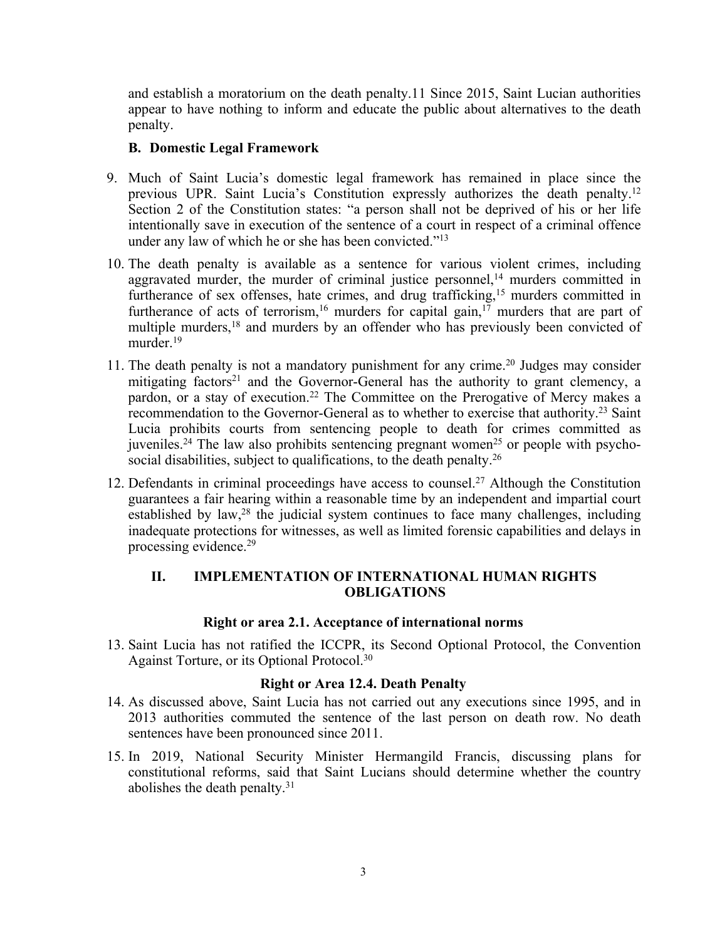and establish <sup>a</sup> moratorium on the death penalty.11 Since 2015, Saint Lucian authorities appear to have nothing to inform and educate the public about alternatives to the death penalty.

## **B. Domestic Legal Framework**

- 9. Much of Saint Lucia'<sup>s</sup> domestic legal framework has remained in place since the previous UPR. Saint Lucia's Constitution expressly authorizes the death penalty.<sup>12</sup> Section 2 of the Constitution states: "<sup>a</sup> person shall not be deprived of his or her life intentionally save in execution of the sentence of <sup>a</sup> court in respec<sup>t</sup> of <sup>a</sup> criminal offence under any law of which he or she has been convicted."<sup>13</sup>
- 10. The death penalty is available as <sup>a</sup> sentence for various violent crimes, including aggravated murder, the murder of criminal justice personnel, <sup>14</sup> murders committed in furtherance of sex offenses, hate crimes, and drug trafficking,<sup>15</sup> murders committed in furtherance of acts of terrorism,<sup>16</sup> murders for capital gain,<sup>17</sup> murders that are part of multiple murders,<sup>18</sup> and murders by an offender who has previously been convicted of murder.<sup>19</sup>
- 11. The death penalty is not <sup>a</sup> mandatory punishment for any crime. 20 Judges may consider mitigating factors<sup>21</sup> and the Governor-General has the authority to grant clemency, a pardon, or <sup>a</sup> stay of execution. 22 The Committee on the Prerogative of Mercy makes <sup>a</sup> recommendation to the Governor-General as to whether to exercise that authority.<sup>23</sup> Saint Lucia prohibits courts from sentencing people to death for crimes committed as juveniles.<sup>24</sup> The law also prohibits sentencing pregnant women<sup>25</sup> or people with psychosocial disabilities, subject to qualifications, to the death penalty.<sup>26</sup>
- 12. Defendants in criminal proceedings have access to counsel. <sup>27</sup> Although the Constitution guarantees <sup>a</sup> fair hearing within <sup>a</sup> reasonable time by an independent and impartial court established by law,<sup>28</sup> the judicial system continues to face many challenges, including inadequate protections for witnesses, as well as limited forensic capabilities and delays in processing evidence. 29

### **II. IMPLEMENTATION OF INTERNATIONAL HUMAN RIGHTS OBLIGATIONS**

### **Right or area 2.1. Acceptance of international norms**

13. Saint Lucia has not ratified the ICCPR, its Second Optional Protocol, the Convention Against Torture, or its Optional Protocol. 30

### **Right or Area 12.4. Death Penalty**

- 14. As discussed above, Saint Lucia has not carried out any executions since 1995, and in 2013 authorities commuted the sentence of the last person on death row. No death sentences have been pronounced since 2011.
- 15. In 2019, National Security Minister Hermangild Francis, discussing plans for constitutional reforms, said that Saint Lucians should determine whether the country abolishes the death penalty.<sup>31</sup>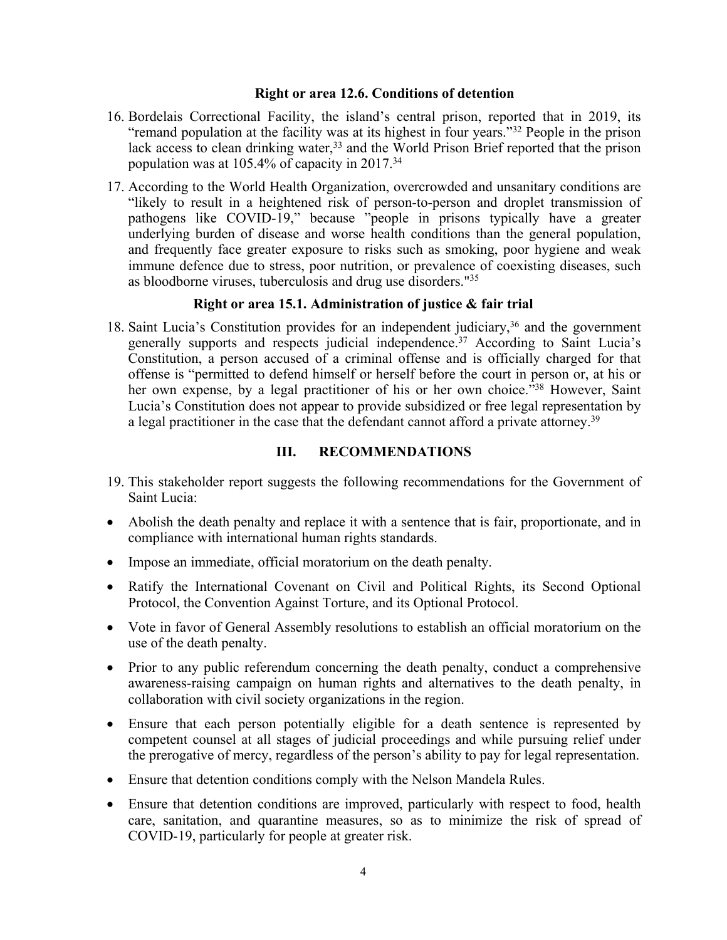#### **Right or area 12.6. Conditions of detention**

- 16. Bordelais Correctional Facility, the island'<sup>s</sup> central prison, reported that in 2019, its "remand population at the facility was at its highest in four years."<sup>32</sup> People in the prison lack access to clean drinking water, 33 and the World Prison Brief reported that the prison population was at 105.4% of capacity in 2017. 34
- 17. According to the World Health Organization, overcrowded and unsanitary conditions are "likely to result in <sup>a</sup> heightened risk of person-to-person and droplet transmission of pathogens like COVID-19," because "people in prisons typically have <sup>a</sup> greater underlying burden of disease and worse health conditions than the general population, and frequently face greater exposure to risks such as smoking, poor hygiene and weak immune defence due to stress, poor nutrition, or prevalence of coexisting diseases, such as bloodborne viruses, tuberculosis and drug use disorders." 35

#### **Right or area 15.1. Administration of justice & fair trial**

18. Saint Lucia'<sup>s</sup> Constitution provides for an independent judiciary, 36 and the governmen<sup>t</sup> generally supports and respects judicial independence. <sup>37</sup> According to Saint Lucia'<sup>s</sup> Constitution, <sup>a</sup> person accused of <sup>a</sup> criminal offense and is officially charged for that offense is "permitted to defend himself or herself before the court in person or, at his or her own expense, by a legal practitioner of his or her own choice."<sup>38</sup> However, Saint Lucia'<sup>s</sup> Constitution does not appear to provide subsidized or free legal representation by a legal practitioner in the case that the defendant cannot afford a private attorney.<sup>39</sup>

#### **III. RECOMMENDATIONS**

- 19. This stakeholder repor<sup>t</sup> suggests the following recommendations for the Government of Saint Lucia:
- Abolish the death penalty and replace it with <sup>a</sup> sentence that is fair, proportionate, and in compliance with international human rights standards.
- Impose an immediate, official moratorium on the death penalty.
- Ratify the International Covenant on Civil and Political Rights, its Second Optional Protocol, the Convention Against Torture, and its Optional Protocol.
- Vote in favor of General Assembly resolutions to establish an official moratorium on the use of the death penalty.
- Prior to any public referendum concerning the death penalty, conduct a comprehensive awareness-raising campaign on human rights and alternatives to the death penalty, in collaboration with civil society organizations in the region.
- Ensure that each person potentially eligible for <sup>a</sup> death sentence is represented by competent counsel at all stages of judicial proceedings and while pursuing relief under the prerogative of mercy, regardless of the person'<sup>s</sup> ability to pay for legal representation.
- Ensure that detention conditions comply with the Nelson Mandela Rules.
- Ensure that detention conditions are improved, particularly with respec<sup>t</sup> to food, health care, sanitation, and quarantine measures, so as to minimize the risk of spread of COVID-19, particularly for people at greater risk.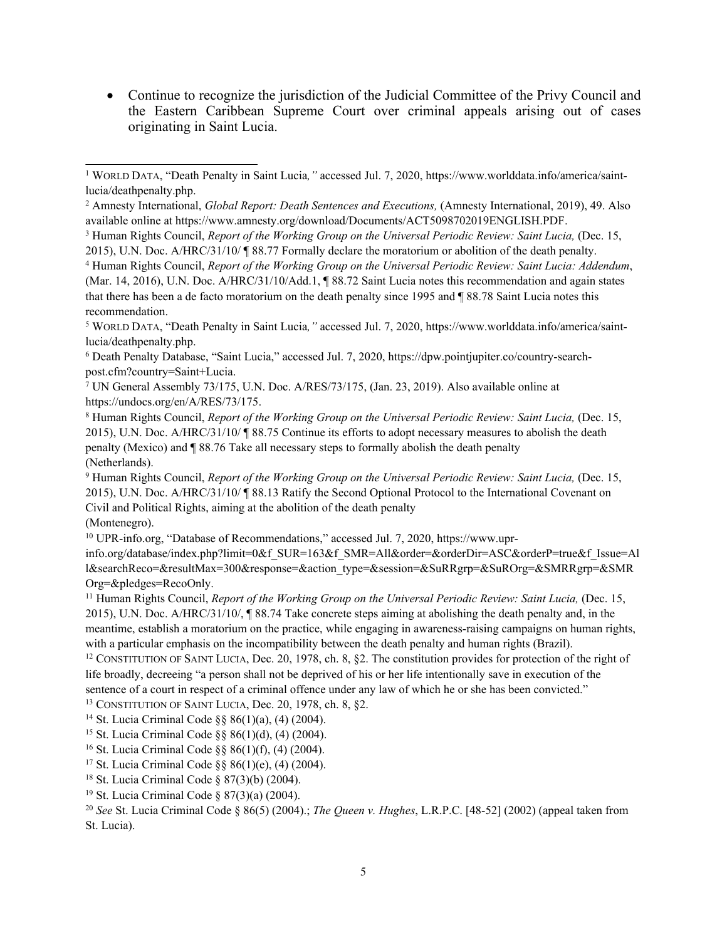Continue to recognize the jurisdiction of the Judicial Committee of the Privy Council and the Eastern Caribbean Supreme Court over criminal appeals arising out of cases originating in Saint Lucia.

<sup>5</sup> WORLD <sup>D</sup>ATA, "Death Penalty in Saint Lucia*,"* accessed Jul. 7, 2020, https://www.worlddata.info/america/saintlucia/deathpenalty.php.

<sup>7</sup> UN General Assembly 73/175, U.N. Doc. A/RES/73/175, (Jan. 23, 2019). Also available online at https://undocs.org/en/A/RES/73/175.

(Montenegro).

```
10 UPR-info.org, "Database of Recommendations," accessed Jul. 7, 2020, https://www.upr-
```
info.org/database/index.php?limit=0&f\_SUR=163&f\_SMR=All&order=&orderDir=ASC&orderP=true&f\_Issue=Al l&searchReco=&resultMax=300&response=&action\_type=&session=&SuRRgrp=&SuROrg=&SMRRgrp=&SMR Org=&pledges=RecoOnly.

<sup>11</sup> Human Rights Council, *Report of the Working Group on the Universal Periodic Review: Saint Lucia,* (Dec. 15, 2015), U.N. Doc. A/HRC/31/10/, ¶ 88.74 Take concrete steps aiming at abolishing the death penalty and, in the meantime, establish <sup>a</sup> moratorium on the practice, while engaging in awareness-raising campaigns on human rights, with <sup>a</sup> particular emphasis on the incompatibility between the death penalty and human rights (Brazil).

<sup>12</sup> CONSTITUTION OF SAINT LUCIA, Dec. 20, 1978, ch. 8, §2. The constitution provides for protection of the right of life broadly, decreeing "a person shall not be deprived of his or her life intentionally save in execution of the sentence of <sup>a</sup> court in respec<sup>t</sup> of <sup>a</sup> criminal offence under any law of which he or she has been convicted."

<sup>13</sup> CONSTITUTION OF SAINT LUCIA, Dec. 20, 1978, ch. 8, §2.

14 St. Lucia Criminal Code §§ 86(1)(a), (4) (2004).

15 St. Lucia Criminal Code §§ 86(1)(d), (4) (2004).

16 St. Lucia Criminal Code §§ 86(1)(f), (4) (2004).

17 St. Lucia Criminal Code §§ 86(1)(e), (4) (2004).

18 St. Lucia Criminal Code § 87(3)(b) (2004).

19 St. Lucia Criminal Code § 87(3)(a) (2004).

20 *See* St. Lucia Criminal Code § 86(5) (2004).; *The Queen v. Hughes*, L.R.P.C. [48-52] (2002) (appeal taken from St. Lucia).

<sup>1</sup> <sup>W</sup>ORLD <sup>D</sup>ATA, "Death Penalty in Saint Lucia*,"* accessed Jul. 7, 2020, https://www.worlddata.info/america/saintlucia/deathpenalty.php.

<sup>2</sup> Amnesty International, *Global Report: Death Sentences and Executions,* (Amnesty International, 2019), 49. Also available online at https://www.amnesty.org/download/Documents/ACT5098702019ENGLISH.PDF.

<sup>3</sup> Human Rights Council, *Report of the Working Group on the Universal Periodic Review: Saint Lucia,* (Dec. 15, 2015), U.N. Doc. A/HRC/31/10/ ¶ 88.77 Formally declare the moratorium or abolition of the death penalty.

<sup>4</sup> Human Rights Council, *Report of the Working Group on the Universal Periodic Review: Saint Lucia: Addendum*, (Mar. 14, 2016), U.N. Doc. A/HRC/31/10/Add.1, ¶ 88.72 Saint Lucia notes this recommendation and again states that there has been <sup>a</sup> de facto moratorium on the death penalty since 1995 and ¶ 88.78 Saint Lucia notes this recommendation.

<sup>6</sup> Death Penalty Database, "Saint Lucia," accessed Jul. 7, 2020, https://dpw.pointjupiter.co/country-searchpost.cfm?country=Saint+Lucia.

<sup>8</sup> Human Rights Council, *Report of the Working Group on the Universal Periodic Review: Saint Lucia,* (Dec. 15, 2015), U.N. Doc. A/HRC/31/10/ ¶ 88.75 Continue its efforts to adopt necessary measures to abolish the death penalty (Mexico) and ¶ 88.76 Take all necessary steps to formally abolish the death penalty (Netherlands).

<sup>9</sup> Human Rights Council, *Report of the Working Group on the Universal Periodic Review: Saint Lucia,* (Dec. 15, 2015), U.N. Doc. A/HRC/31/10/ ¶ 88.13 Ratify the Second Optional Protocol to the International Covenant on Civil and Political Rights, aiming at the abolition of the death penalty